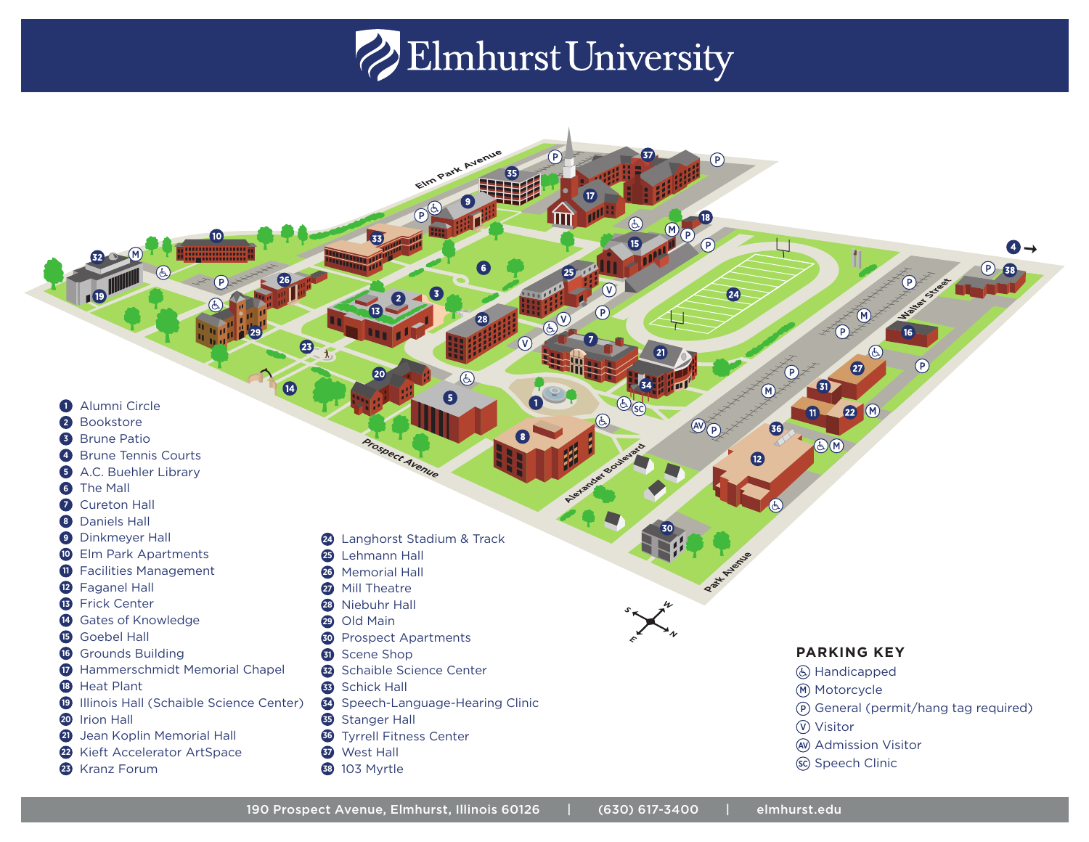## Blmhurst University